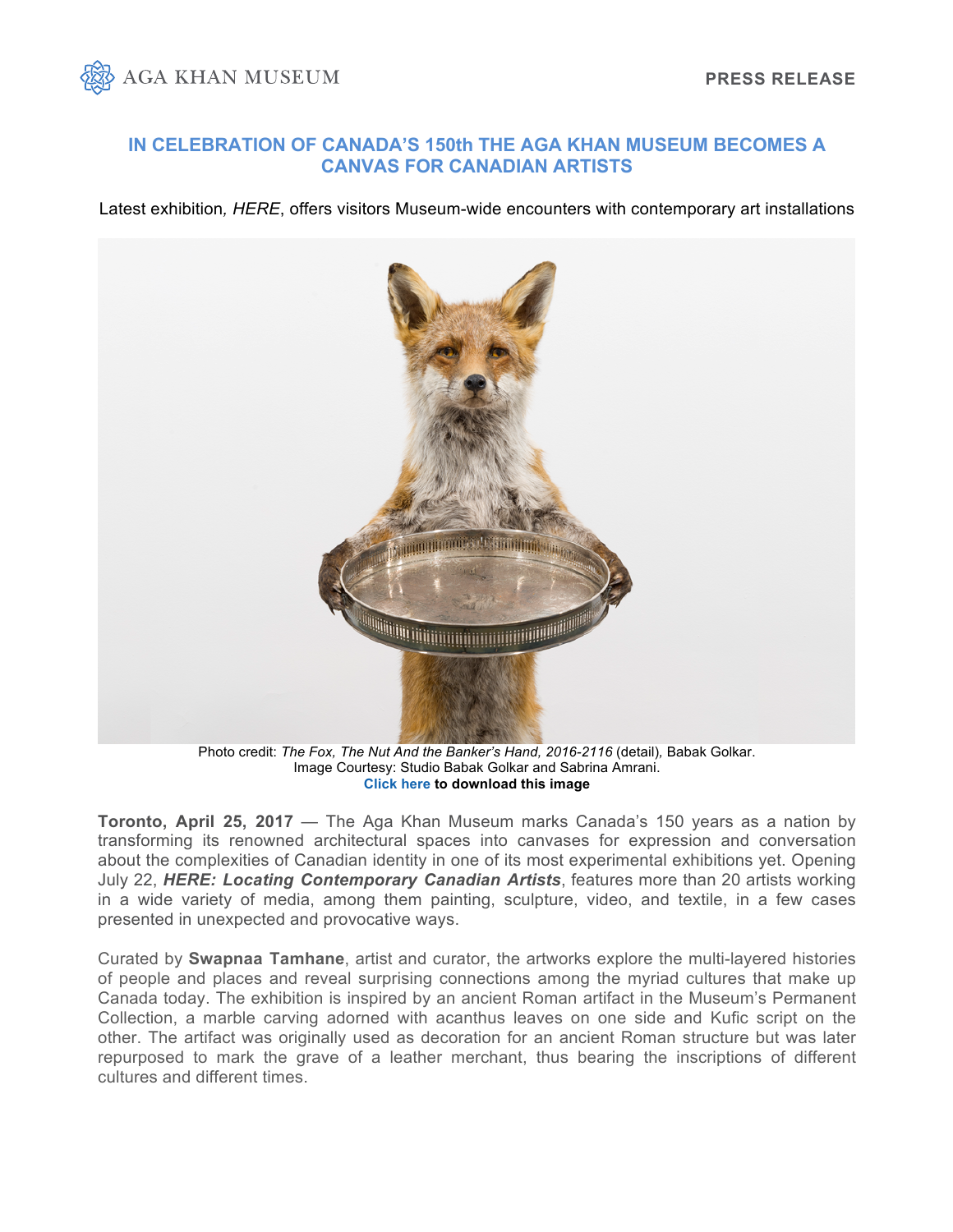

## **IN CELEBRATION OF CANADA'S 150th THE AGA KHAN MUSEUM BECOMES A CANVAS FOR CANADIAN ARTISTS**

Latest exhibition*, HERE*, offers visitors Museum-wide encounters with contemporary art installations



Photo credit: *The Fox, The Nut And the Banker's Hand, 2016-2116 (detail), Babak Golkar.* Image Courtesy: Studio Babak Golkar and Sabrina Amrani. **[Click here](https://www.dropbox.com/sh/wteaierzvpdfuhq/AADCS1bDhzxM3UG8RO-6FSmka?dl=0) to download this image** 

**Toronto, April 25, 2017** — The Aga Khan Museum marks Canada's 150 years as a nation by transforming its renowned architectural spaces into canvases for expression and conversation about the complexities of Canadian identity in one of its most experimental exhibitions yet. Opening July 22, *HERE: Locating Contemporary Canadian Artists*, features more than 20 artists working in a wide variety of media, among them painting, sculpture, video, and textile, in a few cases presented in unexpected and provocative ways.

Curated by **Swapnaa Tamhane**, artist and curator, the artworks explore the multi-layered histories of people and places and reveal surprising connections among the myriad cultures that make up Canada today. The exhibition is inspired by an ancient Roman artifact in the Museum's Permanent Collection, a marble carving adorned with acanthus leaves on one side and Kufic script on the other. The artifact was originally used as decoration for an ancient Roman structure but was later repurposed to mark the grave of a leather merchant, thus bearing the inscriptions of different cultures and different times.